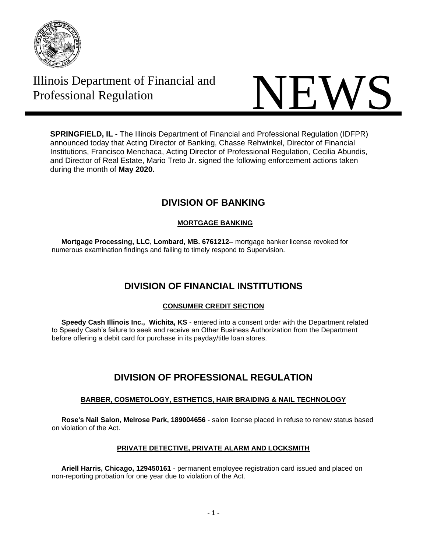

# Illinois Department of Financial and



**SPRINGFIELD, IL** - The Illinois Department of Financial and Professional Regulation (IDFPR) announced today that Acting Director of Banking, Chasse Rehwinkel, Director of Financial Institutions, Francisco Menchaca, Acting Director of Professional Regulation, Cecilia Abundis, and Director of Real Estate, Mario Treto Jr. signed the following enforcement actions taken during the month of **May 2020.**

# **DIVISION OF BANKING**

## **MORTGAGE BANKING**

 **Mortgage Processing, LLC, Lombard, MB. 6761212–** mortgage banker license revoked for numerous examination findings and failing to timely respond to Supervision.

# **DIVISION OF FINANCIAL INSTITUTIONS**

## **CONSUMER CREDIT SECTION**

 **Speedy Cash Illinois Inc., Wichita, KS** - entered into a consent order with the Department related to Speedy Cash's failure to seek and receive an Other Business Authorization from the Department before offering a debit card for purchase in its payday/title loan stores.

# **DIVISION OF PROFESSIONAL REGULATION**

## **BARBER, COSMETOLOGY, ESTHETICS, HAIR BRAIDING & NAIL TECHNOLOGY**

 **Rose's Nail Salon, Melrose Park, 189004656** - salon license placed in refuse to renew status based on violation of the Act.

## **PRIVATE DETECTIVE, PRIVATE ALARM AND LOCKSMITH**

 **Ariell Harris, Chicago, 129450161** - permanent employee registration card issued and placed on non-reporting probation for one year due to violation of the Act.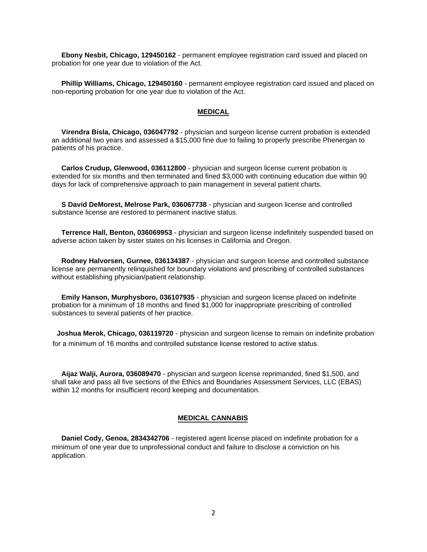**Ebony Nesbit, Chicago, 129450162** - permanent employee registration card issued and placed on probation for one year due to violation of the Act.

 **Phillip Williams, Chicago, 129450160** - permanent employee registration card issued and placed on non-reporting probation for one year due to violation of the Act.

#### **MEDICAL**

 **Virendra Bisla, Chicago, 036047792** - physician and surgeon license current probation is extended an additional two years and assessed a \$15,000 fine due to failing to properly prescribe Phenergan to patients of his practice.

 **Carlos Crudup, Glenwood, 036112800** - physician and surgeon license current probation is extended for six months and then terminated and fined \$3,000 with continuing education due within 90 days for lack of comprehensive approach to pain management in several patient charts.

 **S David DeMorest, Melrose Park, 036067738** - physician and surgeon license and controlled substance license are restored to permanent inactive status.

 **Terrence Hall, Benton, 036069953** - physician and surgeon license indefinitely suspended based on adverse action taken by sister states on his licenses in California and Oregon.

 **Rodney Halvorsen, Gurnee, 036134387** - physician and surgeon license and controlled substance license are permanently relinquished for boundary violations and prescribing of controlled substances without establishing physician/patient relationship.

 **Emily Hanson, Murphysboro, 036107935** - physician and surgeon license placed on indefinite probation for a minimum of 18 months and fined \$1,000 for inappropriate prescribing of controlled substances to several patients of her practice.

**Joshua Merok, Chicago, 036119720** - physician and surgeon license to remain on indefinite probation for a minimum of 16 months and controlled substance license restored to active status.

 **Aijaz Walji, Aurora, 036089470** - physician and surgeon license reprimanded, fined \$1,500, and shall take and pass all five sections of the Ethics and Boundaries Assessment Services, LLC (EBAS) within 12 months for insufficient record keeping and documentation.

#### **MEDICAL CANNABIS**

 **Daniel Cody, Genoa, 2834342706** - registered agent license placed on indefinite probation for a minimum of one year due to unprofessional conduct and failure to disclose a conviction on his application.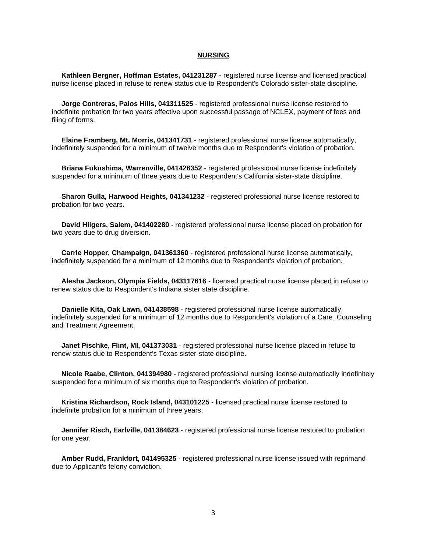#### **NURSING**

 **Kathleen Bergner, Hoffman Estates, 041231287** - registered nurse license and licensed practical nurse license placed in refuse to renew status due to Respondent's Colorado sister-state discipline.

 **Jorge Contreras, Palos Hills, 041311525** - registered professional nurse license restored to indefinite probation for two years effective upon successful passage of NCLEX, payment of fees and filing of forms.

 **Elaine Framberg, Mt. Morris, 041341731** - registered professional nurse license automatically, indefinitely suspended for a minimum of twelve months due to Respondent's violation of probation.

 **Briana Fukushima, Warrenville, 041426352** - registered professional nurse license indefinitely suspended for a minimum of three years due to Respondent's California sister-state discipline.

 **Sharon Gulla, Harwood Heights, 041341232** - registered professional nurse license restored to probation for two years.

 **David Hilgers, Salem, 041402280** - registered professional nurse license placed on probation for two years due to drug diversion.

 **Carrie Hopper, Champaign, 041361360** - registered professional nurse license automatically, indefinitely suspended for a minimum of 12 months due to Respondent's violation of probation.

 **Alesha Jackson, Olympia Fields, 043117616** - licensed practical nurse license placed in refuse to renew status due to Respondent's Indiana sister state discipline.

 **Danielle Kita, Oak Lawn, 041438598** - registered professional nurse license automatically, indefinitely suspended for a minimum of 12 months due to Respondent's violation of a Care, Counseling and Treatment Agreement.

 **Janet Pischke, Flint, MI, 041373031** - registered professional nurse license placed in refuse to renew status due to Respondent's Texas sister-state discipline.

 **Nicole Raabe, Clinton, 041394980** - registered professional nursing license automatically indefinitely suspended for a minimum of six months due to Respondent's violation of probation.

 **Kristina Richardson, Rock Island, 043101225** - licensed practical nurse license restored to indefinite probation for a minimum of three years.

 **Jennifer Risch, Earlville, 041384623** - registered professional nurse license restored to probation for one year.

 **Amber Rudd, Frankfort, 041495325** - registered professional nurse license issued with reprimand due to Applicant's felony conviction.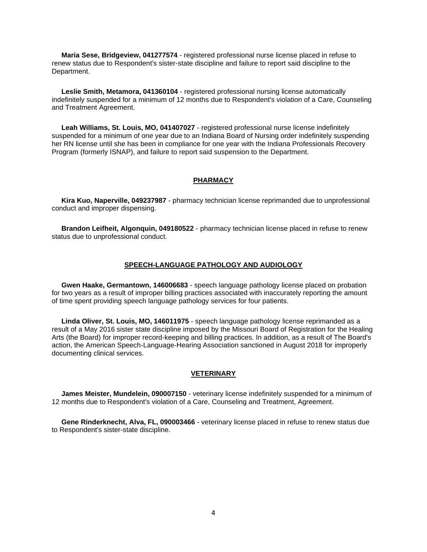**Maria Sese, Bridgeview, 041277574** - registered professional nurse license placed in refuse to renew status due to Respondent's sister-state discipline and failure to report said discipline to the Department.

 **Leslie Smith, Metamora, 041360104** - registered professional nursing license automatically indefinitely suspended for a minimum of 12 months due to Respondent's violation of a Care, Counseling and Treatment Agreement.

 **Leah Williams, St. Louis, MO, 041407027** - registered professional nurse license indefinitely suspended for a minimum of one year due to an Indiana Board of Nursing order indefinitely suspending her RN license until she has been in compliance for one year with the Indiana Professionals Recovery Program (formerly ISNAP), and failure to report said suspension to the Department.

#### **PHARMACY**

 **Kira Kuo, Naperville, 049237987** - pharmacy technician license reprimanded due to unprofessional conduct and improper dispensing.

 **Brandon Leifheit, Algonquin, 049180522** - pharmacy technician license placed in refuse to renew status due to unprofessional conduct.

#### **SPEECH-LANGUAGE PATHOLOGY AND AUDIOLOGY**

 **Gwen Haake, Germantown, 146006683** - speech language pathology license placed on probation for two years as a result of improper billing practices associated with inaccurately reporting the amount of time spent providing speech language pathology services for four patients.

 **Linda Oliver, St. Louis, MO, 146011975** - speech language pathology license reprimanded as a result of a May 2016 sister state discipline imposed by the Missouri Board of Registration for the Healing Arts (the Board) for improper record-keeping and billing practices. In addition, as a result of The Board's action, the American Speech-Language-Hearing Association sanctioned in August 2018 for improperly documenting clinical services.

#### **VETERINARY**

 **James Meister, Mundelein, 090007150** - veterinary license indefinitely suspended for a minimum of 12 months due to Respondent's violation of a Care, Counseling and Treatment, Agreement.

 **Gene Rinderknecht, Alva, FL, 090003466** - veterinary license placed in refuse to renew status due to Respondent's sister-state discipline.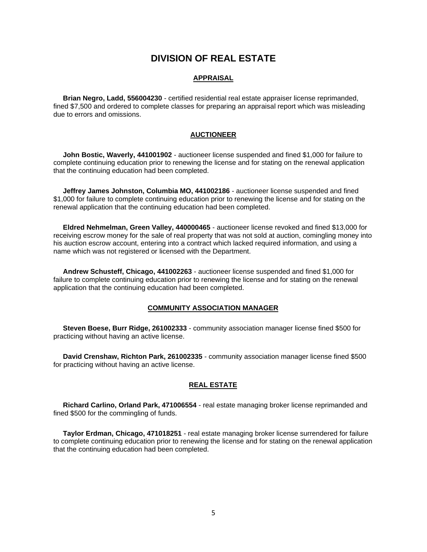# **DIVISION OF REAL ESTATE**

#### **APPRAISAL**

 **Brian Negro, Ladd, 556004230** - certified residential real estate appraiser license reprimanded, fined \$7,500 and ordered to complete classes for preparing an appraisal report which was misleading due to errors and omissions.

#### **AUCTIONEER**

 **John Bostic, Waverly, 441001902** - auctioneer license suspended and fined \$1,000 for failure to complete continuing education prior to renewing the license and for stating on the renewal application that the continuing education had been completed.

 **Jeffrey James Johnston, Columbia MO, 441002186** - auctioneer license suspended and fined \$1,000 for failure to complete continuing education prior to renewing the license and for stating on the renewal application that the continuing education had been completed.

 **Eldred Nehmelman, Green Valley, 440000465** - auctioneer license revoked and fined \$13,000 for receiving escrow money for the sale of real property that was not sold at auction, comingling money into his auction escrow account, entering into a contract which lacked required information, and using a name which was not registered or licensed with the Department.

 **Andrew Schusteff, Chicago, 441002263** - auctioneer license suspended and fined \$1,000 for failure to complete continuing education prior to renewing the license and for stating on the renewal application that the continuing education had been completed.

#### **COMMUNITY ASSOCIATION MANAGER**

 **Steven Boese, Burr Ridge, 261002333** - community association manager license fined \$500 for practicing without having an active license.

 **David Crenshaw, Richton Park, 261002335** - community association manager license fined \$500 for practicing without having an active license.

#### **REAL ESTATE**

 **Richard Carlino, Orland Park, 471006554** - real estate managing broker license reprimanded and fined \$500 for the commingling of funds.

 **Taylor Erdman, Chicago, 471018251** - real estate managing broker license surrendered for failure to complete continuing education prior to renewing the license and for stating on the renewal application that the continuing education had been completed.